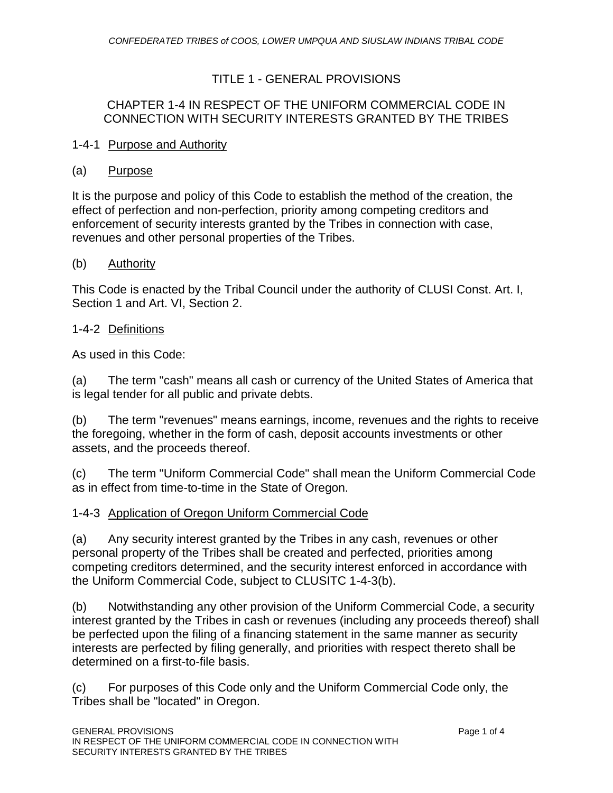## TITLE 1 - GENERAL PROVISIONS

## CHAPTER 1-4 IN RESPECT OF THE UNIFORM COMMERCIAL CODE IN CONNECTION WITH SECURITY INTERESTS GRANTED BY THE TRIBES

#### 1-4-1 Purpose and Authority

#### (a) Purpose

It is the purpose and policy of this Code to establish the method of the creation, the effect of perfection and non-perfection, priority among competing creditors and enforcement of security interests granted by the Tribes in connection with case, revenues and other personal properties of the Tribes.

#### (b) Authority

This Code is enacted by the Tribal Council under the authority of CLUSI Const. Art. I, Section 1 and Art. VI, Section 2.

### 1-4-2 Definitions

As used in this Code:

(a) The term "cash" means all cash or currency of the United States of America that is legal tender for all public and private debts.

(b) The term "revenues" means earnings, income, revenues and the rights to receive the foregoing, whether in the form of cash, deposit accounts investments or other assets, and the proceeds thereof.

(c) The term "Uniform Commercial Code" shall mean the Uniform Commercial Code as in effect from time-to-time in the State of Oregon.

## 1-4-3 Application of Oregon Uniform Commercial Code

(a) Any security interest granted by the Tribes in any cash, revenues or other personal property of the Tribes shall be created and perfected, priorities among competing creditors determined, and the security interest enforced in accordance with the Uniform Commercial Code, subject to CLUSITC 1-4-3(b).

(b) Notwithstanding any other provision of the Uniform Commercial Code, a security interest granted by the Tribes in cash or revenues (including any proceeds thereof) shall be perfected upon the filing of a financing statement in the same manner as security interests are perfected by filing generally, and priorities with respect thereto shall be determined on a first-to-file basis.

(c) For purposes of this Code only and the Uniform Commercial Code only, the Tribes shall be "located" in Oregon.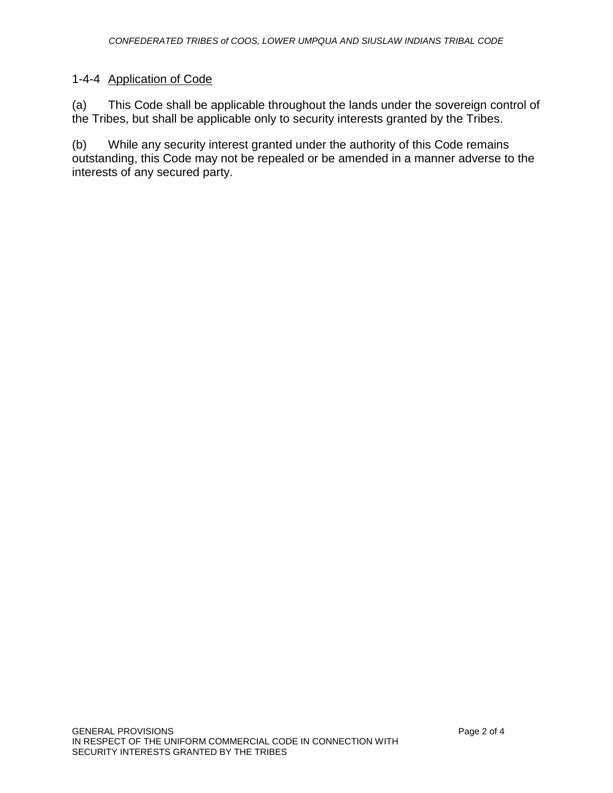## 1-4-4 Application of Code

(a) This Code shall be applicable throughout the lands under the sovereign control of the Tribes, but shall be applicable only to security interests granted by the Tribes.

(b) While any security interest granted under the authority of this Code remains outstanding, this Code may not be repealed or be amended in a manner adverse to the interests of any secured party.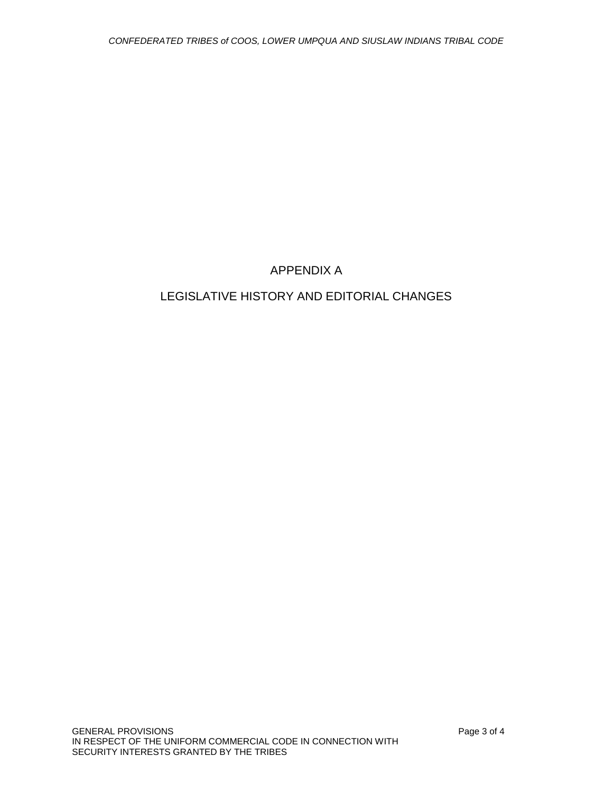## APPENDIX A

# LEGISLATIVE HISTORY AND EDITORIAL CHANGES